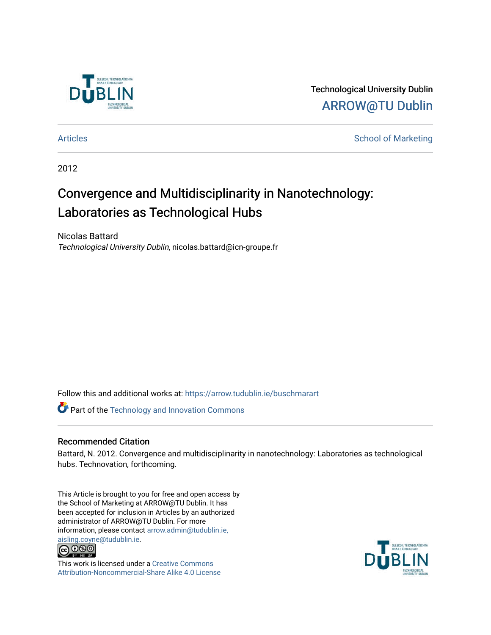

Technological University Dublin [ARROW@TU Dublin](https://arrow.tudublin.ie/) 

[Articles](https://arrow.tudublin.ie/buschmarart) **School of Marketing** 

2012

# Convergence and Multidisciplinarity in Nanotechnology: Laboratories as Technological Hubs

Nicolas Battard Technological University Dublin, nicolas.battard@icn-groupe.fr

Follow this and additional works at: [https://arrow.tudublin.ie/buschmarart](https://arrow.tudublin.ie/buschmarart?utm_source=arrow.tudublin.ie%2Fbuschmarart%2F101&utm_medium=PDF&utm_campaign=PDFCoverPages) 

**Part of the [Technology and Innovation Commons](http://network.bepress.com/hgg/discipline/644?utm_source=arrow.tudublin.ie%2Fbuschmarart%2F101&utm_medium=PDF&utm_campaign=PDFCoverPages)** 

# Recommended Citation

Battard, N. 2012. Convergence and multidisciplinarity in nanotechnology: Laboratories as technological hubs. Technovation, forthcoming.

This Article is brought to you for free and open access by the School of Marketing at ARROW@TU Dublin. It has been accepted for inclusion in Articles by an authorized administrator of ARROW@TU Dublin. For more information, please contact [arrow.admin@tudublin.ie,](mailto:arrow.admin@tudublin.ie,%20aisling.coyne@tudublin.ie)  [aisling.coyne@tudublin.ie.](mailto:arrow.admin@tudublin.ie,%20aisling.coyne@tudublin.ie)<br>© 090



This work is licensed under a [Creative Commons](http://creativecommons.org/licenses/by-nc-sa/4.0/) [Attribution-Noncommercial-Share Alike 4.0 License](http://creativecommons.org/licenses/by-nc-sa/4.0/)

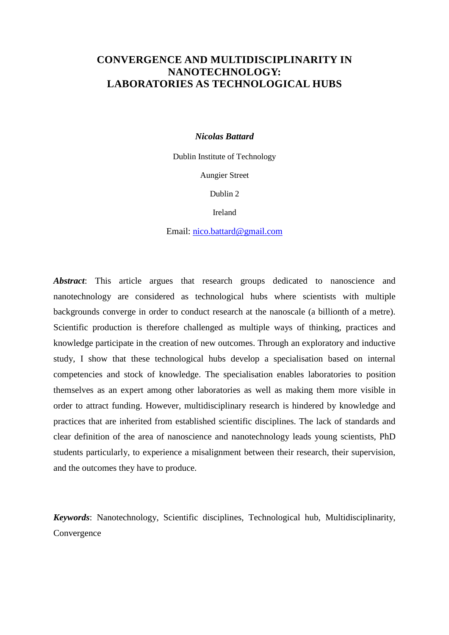# **CONVERGENCE AND MULTIDISCIPLINARITY IN NANOTECHNOLOGY: LABORATORIES AS TECHNOLOGICAL HUBS**

#### *Nicolas Battard*

Dublin Institute of Technology Aungier Street

Dublin 2

Ireland

Email: nico.battard@gmail.com

*Abstract*: This article argues that research groups dedicated to nanoscience and nanotechnology are considered as technological hubs where scientists with multiple backgrounds converge in order to conduct research at the nanoscale (a billionth of a metre). Scientific production is therefore challenged as multiple ways of thinking, practices and knowledge participate in the creation of new outcomes. Through an exploratory and inductive study, I show that these technological hubs develop a specialisation based on internal competencies and stock of knowledge. The specialisation enables laboratories to position themselves as an expert among other laboratories as well as making them more visible in order to attract funding. However, multidisciplinary research is hindered by knowledge and practices that are inherited from established scientific disciplines. The lack of standards and clear definition of the area of nanoscience and nanotechnology leads young scientists, PhD students particularly, to experience a misalignment between their research, their supervision, and the outcomes they have to produce.

*Keywords*: Nanotechnology, Scientific disciplines, Technological hub, Multidisciplinarity, Convergence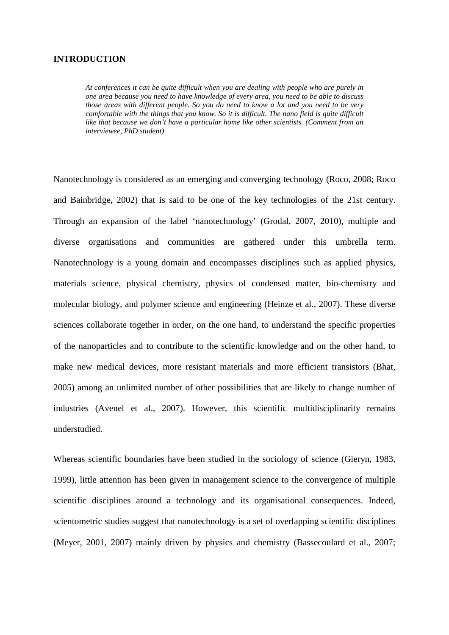#### **INTRODUCTION**

*At conferences it can be quite difficult when you are dealing with people who are purely in one area because you need to have knowledge of every area, you need to be able to discuss those areas with different people. So you do need to know a lot and you need to be very comfortable with the things that you know. So it is difficult. The nano field is quite difficult like that because we don't have a particular home like other scientists. (Comment from an interviewee, PhD student)* 

Nanotechnology is considered as an emerging and converging technology (Roco, 2008; Roco and Bainbridge, 2002) that is said to be one of the key technologies of the 21st century. Through an expansion of the label 'nanotechnology' (Grodal, 2007, 2010), multiple and diverse organisations and communities are gathered under this umbrella term. Nanotechnology is a young domain and encompasses disciplines such as applied physics, materials science, physical chemistry, physics of condensed matter, bio-chemistry and molecular biology, and polymer science and engineering (Heinze et al., 2007). These diverse sciences collaborate together in order, on the one hand, to understand the specific properties of the nanoparticles and to contribute to the scientific knowledge and on the other hand, to make new medical devices, more resistant materials and more efficient transistors (Bhat, 2005) among an unlimited number of other possibilities that are likely to change number of industries (Avenel et al., 2007). However, this scientific multidisciplinarity remains understudied.

Whereas scientific boundaries have been studied in the sociology of science (Gieryn, 1983, 1999), little attention has been given in management science to the convergence of multiple scientific disciplines around a technology and its organisational consequences. Indeed, scientometric studies suggest that nanotechnology is a set of overlapping scientific disciplines (Meyer, 2001, 2007) mainly driven by physics and chemistry (Bassecoulard et al., 2007;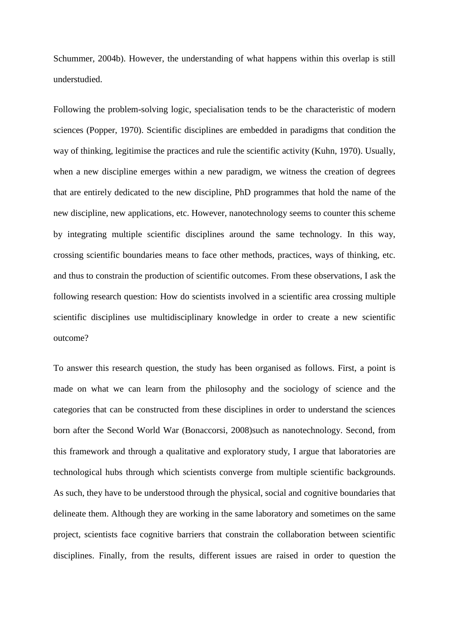Schummer, 2004b). However, the understanding of what happens within this overlap is still understudied.

Following the problem-solving logic, specialisation tends to be the characteristic of modern sciences (Popper, 1970). Scientific disciplines are embedded in paradigms that condition the way of thinking, legitimise the practices and rule the scientific activity (Kuhn, 1970). Usually, when a new discipline emerges within a new paradigm, we witness the creation of degrees that are entirely dedicated to the new discipline, PhD programmes that hold the name of the new discipline, new applications, etc. However, nanotechnology seems to counter this scheme by integrating multiple scientific disciplines around the same technology. In this way, crossing scientific boundaries means to face other methods, practices, ways of thinking, etc. and thus to constrain the production of scientific outcomes. From these observations, I ask the following research question: How do scientists involved in a scientific area crossing multiple scientific disciplines use multidisciplinary knowledge in order to create a new scientific outcome?

To answer this research question, the study has been organised as follows. First, a point is made on what we can learn from the philosophy and the sociology of science and the categories that can be constructed from these disciplines in order to understand the sciences born after the Second World War (Bonaccorsi, 2008)such as nanotechnology. Second, from this framework and through a qualitative and exploratory study, I argue that laboratories are technological hubs through which scientists converge from multiple scientific backgrounds. As such, they have to be understood through the physical, social and cognitive boundaries that delineate them. Although they are working in the same laboratory and sometimes on the same project, scientists face cognitive barriers that constrain the collaboration between scientific disciplines. Finally, from the results, different issues are raised in order to question the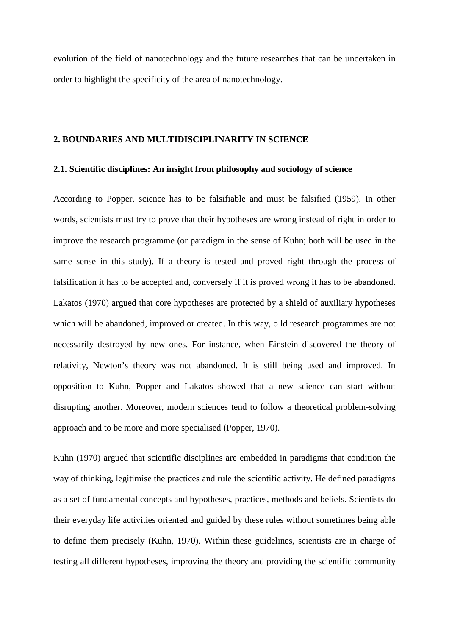evolution of the field of nanotechnology and the future researches that can be undertaken in order to highlight the specificity of the area of nanotechnology.

# **2. BOUNDARIES AND MULTIDISCIPLINARITY IN SCIENCE**

#### **2.1. Scientific disciplines: An insight from philosophy and sociology of science**

According to Popper, science has to be falsifiable and must be falsified (1959). In other words, scientists must try to prove that their hypotheses are wrong instead of right in order to improve the research programme (or paradigm in the sense of Kuhn; both will be used in the same sense in this study). If a theory is tested and proved right through the process of falsification it has to be accepted and, conversely if it is proved wrong it has to be abandoned. Lakatos (1970) argued that core hypotheses are protected by a shield of auxiliary hypotheses which will be abandoned, improved or created. In this way, o ld research programmes are not necessarily destroyed by new ones. For instance, when Einstein discovered the theory of relativity, Newton's theory was not abandoned. It is still being used and improved. In opposition to Kuhn, Popper and Lakatos showed that a new science can start without disrupting another. Moreover, modern sciences tend to follow a theoretical problem-solving approach and to be more and more specialised (Popper, 1970).

Kuhn (1970) argued that scientific disciplines are embedded in paradigms that condition the way of thinking, legitimise the practices and rule the scientific activity. He defined paradigms as a set of fundamental concepts and hypotheses, practices, methods and beliefs. Scientists do their everyday life activities oriented and guided by these rules without sometimes being able to define them precisely (Kuhn, 1970). Within these guidelines, scientists are in charge of testing all different hypotheses, improving the theory and providing the scientific community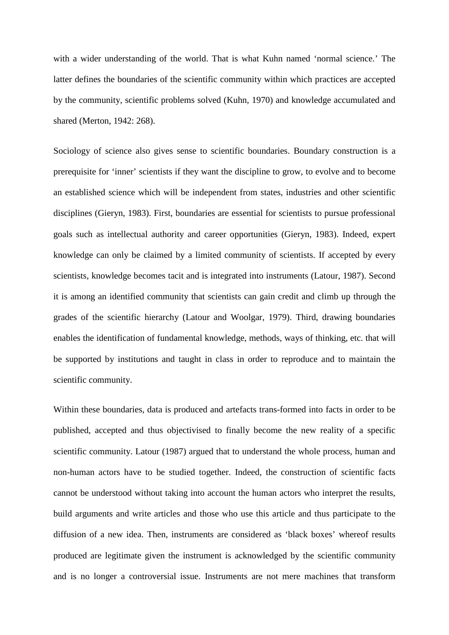with a wider understanding of the world. That is what Kuhn named 'normal science.' The latter defines the boundaries of the scientific community within which practices are accepted by the community, scientific problems solved (Kuhn, 1970) and knowledge accumulated and shared (Merton, 1942: 268).

Sociology of science also gives sense to scientific boundaries. Boundary construction is a prerequisite for 'inner' scientists if they want the discipline to grow, to evolve and to become an established science which will be independent from states, industries and other scientific disciplines (Gieryn, 1983). First, boundaries are essential for scientists to pursue professional goals such as intellectual authority and career opportunities (Gieryn, 1983). Indeed, expert knowledge can only be claimed by a limited community of scientists. If accepted by every scientists, knowledge becomes tacit and is integrated into instruments (Latour, 1987). Second it is among an identified community that scientists can gain credit and climb up through the grades of the scientific hierarchy (Latour and Woolgar, 1979). Third, drawing boundaries enables the identification of fundamental knowledge, methods, ways of thinking, etc. that will be supported by institutions and taught in class in order to reproduce and to maintain the scientific community.

Within these boundaries, data is produced and artefacts trans-formed into facts in order to be published, accepted and thus objectivised to finally become the new reality of a specific scientific community. Latour (1987) argued that to understand the whole process, human and non-human actors have to be studied together. Indeed, the construction of scientific facts cannot be understood without taking into account the human actors who interpret the results, build arguments and write articles and those who use this article and thus participate to the diffusion of a new idea. Then, instruments are considered as 'black boxes' whereof results produced are legitimate given the instrument is acknowledged by the scientific community and is no longer a controversial issue. Instruments are not mere machines that transform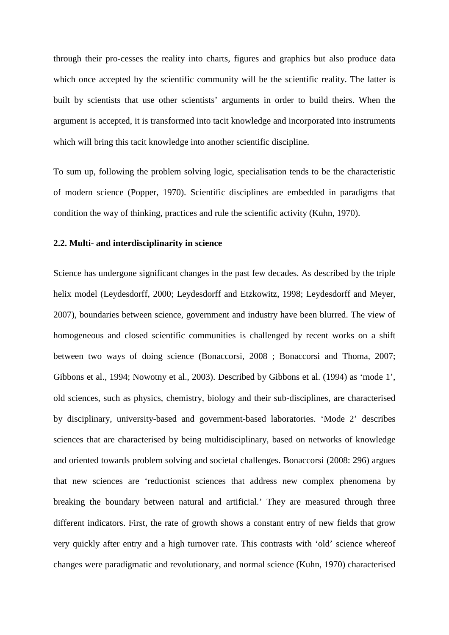through their pro-cesses the reality into charts, figures and graphics but also produce data which once accepted by the scientific community will be the scientific reality. The latter is built by scientists that use other scientists' arguments in order to build theirs. When the argument is accepted, it is transformed into tacit knowledge and incorporated into instruments which will bring this tacit knowledge into another scientific discipline.

To sum up, following the problem solving logic, specialisation tends to be the characteristic of modern science (Popper, 1970). Scientific disciplines are embedded in paradigms that condition the way of thinking, practices and rule the scientific activity (Kuhn, 1970).

## **2.2. Multi- and interdisciplinarity in science**

Science has undergone significant changes in the past few decades. As described by the triple helix model (Leydesdorff, 2000; Leydesdorff and Etzkowitz, 1998; Leydesdorff and Meyer, 2007), boundaries between science, government and industry have been blurred. The view of homogeneous and closed scientific communities is challenged by recent works on a shift between two ways of doing science (Bonaccorsi, 2008 ; Bonaccorsi and Thoma, 2007; Gibbons et al., 1994; Nowotny et al., 2003). Described by Gibbons et al. (1994) as 'mode 1', old sciences, such as physics, chemistry, biology and their sub-disciplines, are characterised by disciplinary, university-based and government-based laboratories. 'Mode 2' describes sciences that are characterised by being multidisciplinary, based on networks of knowledge and oriented towards problem solving and societal challenges. Bonaccorsi (2008: 296) argues that new sciences are 'reductionist sciences that address new complex phenomena by breaking the boundary between natural and artificial.' They are measured through three different indicators. First, the rate of growth shows a constant entry of new fields that grow very quickly after entry and a high turnover rate. This contrasts with 'old' science whereof changes were paradigmatic and revolutionary, and normal science (Kuhn, 1970) characterised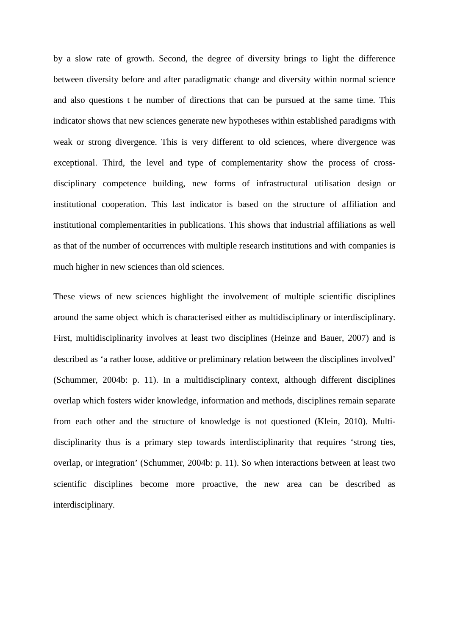by a slow rate of growth. Second, the degree of diversity brings to light the difference between diversity before and after paradigmatic change and diversity within normal science and also questions t he number of directions that can be pursued at the same time. This indicator shows that new sciences generate new hypotheses within established paradigms with weak or strong divergence. This is very different to old sciences, where divergence was exceptional. Third, the level and type of complementarity show the process of crossdisciplinary competence building, new forms of infrastructural utilisation design or institutional cooperation. This last indicator is based on the structure of affiliation and institutional complementarities in publications. This shows that industrial affiliations as well as that of the number of occurrences with multiple research institutions and with companies is much higher in new sciences than old sciences.

These views of new sciences highlight the involvement of multiple scientific disciplines around the same object which is characterised either as multidisciplinary or interdisciplinary. First, multidisciplinarity involves at least two disciplines (Heinze and Bauer, 2007) and is described as 'a rather loose, additive or preliminary relation between the disciplines involved' (Schummer, 2004b: p. 11). In a multidisciplinary context, although different disciplines overlap which fosters wider knowledge, information and methods, disciplines remain separate from each other and the structure of knowledge is not questioned (Klein, 2010). Multidisciplinarity thus is a primary step towards interdisciplinarity that requires 'strong ties, overlap, or integration' (Schummer, 2004b: p. 11). So when interactions between at least two scientific disciplines become more proactive, the new area can be described as interdisciplinary.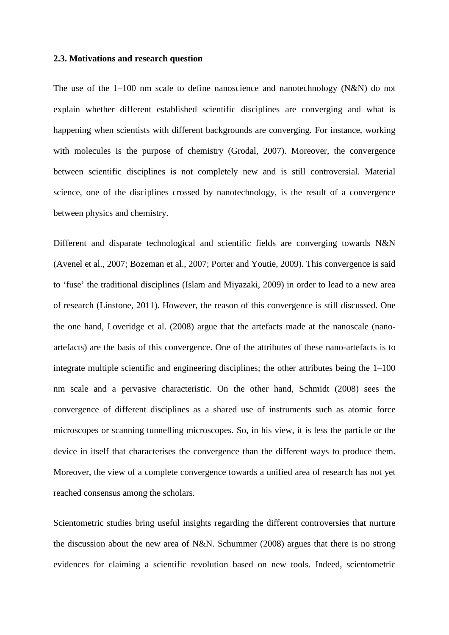#### **2.3. Motivations and research question**

The use of the 1–100 nm scale to define nanoscience and nanotechnology (N&N) do not explain whether different established scientific disciplines are converging and what is happening when scientists with different backgrounds are converging. For instance, working with molecules is the purpose of chemistry (Grodal, 2007). Moreover, the convergence between scientific disciplines is not completely new and is still controversial. Material science, one of the disciplines crossed by nanotechnology, is the result of a convergence between physics and chemistry.

Different and disparate technological and scientific fields are converging towards N&N (Avenel et al., 2007; Bozeman et al., 2007; Porter and Youtie, 2009). This convergence is said to 'fuse' the traditional disciplines (Islam and Miyazaki, 2009) in order to lead to a new area of research (Linstone, 2011). However, the reason of this convergence is still discussed. One the one hand, Loveridge et al. (2008) argue that the artefacts made at the nanoscale (nanoartefacts) are the basis of this convergence. One of the attributes of these nano-artefacts is to integrate multiple scientific and engineering disciplines; the other attributes being the 1–100 nm scale and a pervasive characteristic. On the other hand, Schmidt (2008) sees the convergence of different disciplines as a shared use of instruments such as atomic force microscopes or scanning tunnelling microscopes. So, in his view, it is less the particle or the device in itself that characterises the convergence than the different ways to produce them. Moreover, the view of a complete convergence towards a unified area of research has not yet reached consensus among the scholars.

Scientometric studies bring useful insights regarding the different controversies that nurture the discussion about the new area of N&N. Schummer (2008) argues that there is no strong evidences for claiming a scientific revolution based on new tools. Indeed, scientometric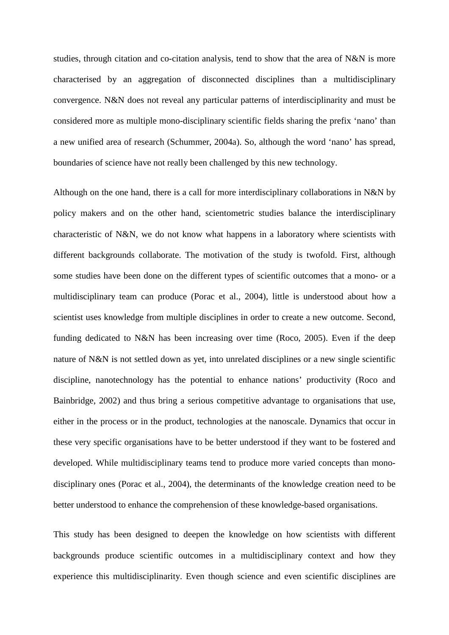studies, through citation and co-citation analysis, tend to show that the area of N&N is more characterised by an aggregation of disconnected disciplines than a multidisciplinary convergence. N&N does not reveal any particular patterns of interdisciplinarity and must be considered more as multiple mono-disciplinary scientific fields sharing the prefix 'nano' than a new unified area of research (Schummer, 2004a). So, although the word 'nano' has spread, boundaries of science have not really been challenged by this new technology.

Although on the one hand, there is a call for more interdisciplinary collaborations in N&N by policy makers and on the other hand, scientometric studies balance the interdisciplinary characteristic of N&N, we do not know what happens in a laboratory where scientists with different backgrounds collaborate. The motivation of the study is twofold. First, although some studies have been done on the different types of scientific outcomes that a mono- or a multidisciplinary team can produce (Porac et al., 2004), little is understood about how a scientist uses knowledge from multiple disciplines in order to create a new outcome. Second, funding dedicated to N&N has been increasing over time (Roco, 2005). Even if the deep nature of N&N is not settled down as yet, into unrelated disciplines or a new single scientific discipline, nanotechnology has the potential to enhance nations' productivity (Roco and Bainbridge, 2002) and thus bring a serious competitive advantage to organisations that use, either in the process or in the product, technologies at the nanoscale. Dynamics that occur in these very specific organisations have to be better understood if they want to be fostered and developed. While multidisciplinary teams tend to produce more varied concepts than monodisciplinary ones (Porac et al., 2004), the determinants of the knowledge creation need to be better understood to enhance the comprehension of these knowledge-based organisations.

This study has been designed to deepen the knowledge on how scientists with different backgrounds produce scientific outcomes in a multidisciplinary context and how they experience this multidisciplinarity. Even though science and even scientific disciplines are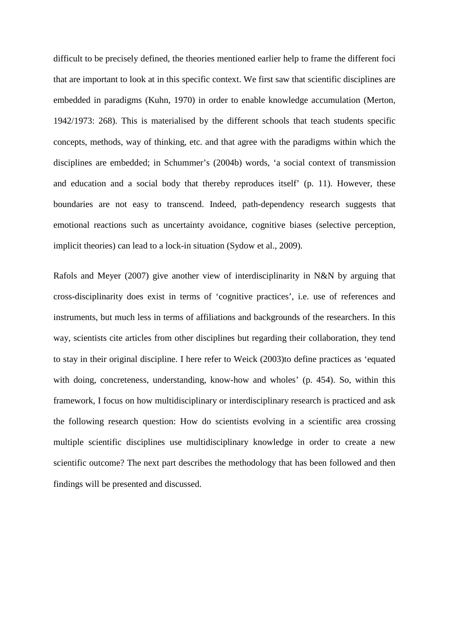difficult to be precisely defined, the theories mentioned earlier help to frame the different foci that are important to look at in this specific context. We first saw that scientific disciplines are embedded in paradigms (Kuhn, 1970) in order to enable knowledge accumulation (Merton, 1942/1973: 268). This is materialised by the different schools that teach students specific concepts, methods, way of thinking, etc. and that agree with the paradigms within which the disciplines are embedded; in Schummer's (2004b) words, 'a social context of transmission and education and a social body that thereby reproduces itself' (p. 11). However, these boundaries are not easy to transcend. Indeed, path-dependency research suggests that emotional reactions such as uncertainty avoidance, cognitive biases (selective perception, implicit theories) can lead to a lock-in situation (Sydow et al., 2009).

Rafols and Meyer (2007) give another view of interdisciplinarity in N&N by arguing that cross-disciplinarity does exist in terms of 'cognitive practices', i.e. use of references and instruments, but much less in terms of affiliations and backgrounds of the researchers. In this way, scientists cite articles from other disciplines but regarding their collaboration, they tend to stay in their original discipline. I here refer to Weick (2003)to define practices as 'equated with doing, concreteness, understanding, know-how and wholes' (p. 454). So, within this framework, I focus on how multidisciplinary or interdisciplinary research is practiced and ask the following research question: How do scientists evolving in a scientific area crossing multiple scientific disciplines use multidisciplinary knowledge in order to create a new scientific outcome? The next part describes the methodology that has been followed and then findings will be presented and discussed.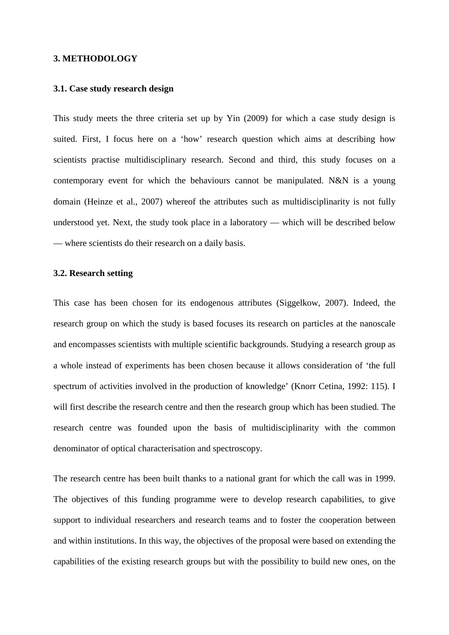#### **3. METHODOLOGY**

# **3.1. Case study research design**

This study meets the three criteria set up by Yin (2009) for which a case study design is suited. First, I focus here on a 'how' research question which aims at describing how scientists practise multidisciplinary research. Second and third, this study focuses on a contemporary event for which the behaviours cannot be manipulated. N&N is a young domain (Heinze et al., 2007) whereof the attributes such as multidisciplinarity is not fully understood yet. Next, the study took place in a laboratory — which will be described below — where scientists do their research on a daily basis.

### **3.2. Research setting**

This case has been chosen for its endogenous attributes (Siggelkow, 2007). Indeed, the research group on which the study is based focuses its research on particles at the nanoscale and encompasses scientists with multiple scientific backgrounds. Studying a research group as a whole instead of experiments has been chosen because it allows consideration of 'the full spectrum of activities involved in the production of knowledge' (Knorr Cetina, 1992: 115). I will first describe the research centre and then the research group which has been studied. The research centre was founded upon the basis of multidisciplinarity with the common denominator of optical characterisation and spectroscopy.

The research centre has been built thanks to a national grant for which the call was in 1999. The objectives of this funding programme were to develop research capabilities, to give support to individual researchers and research teams and to foster the cooperation between and within institutions. In this way, the objectives of the proposal were based on extending the capabilities of the existing research groups but with the possibility to build new ones, on the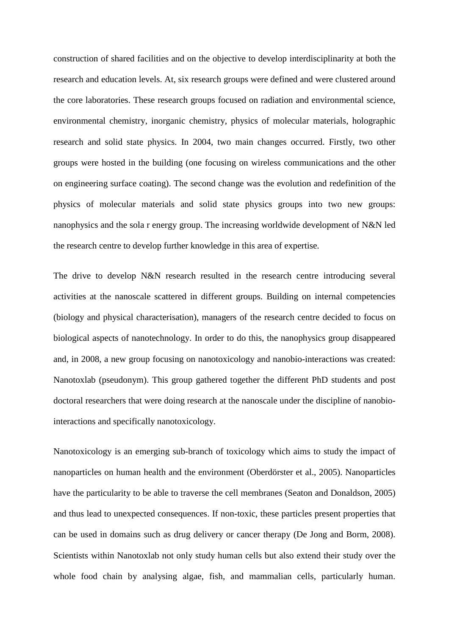construction of shared facilities and on the objective to develop interdisciplinarity at both the research and education levels. At, six research groups were defined and were clustered around the core laboratories. These research groups focused on radiation and environmental science, environmental chemistry, inorganic chemistry, physics of molecular materials, holographic research and solid state physics. In 2004, two main changes occurred. Firstly, two other groups were hosted in the building (one focusing on wireless communications and the other on engineering surface coating). The second change was the evolution and redefinition of the physics of molecular materials and solid state physics groups into two new groups: nanophysics and the sola r energy group. The increasing worldwide development of N&N led the research centre to develop further knowledge in this area of expertise.

The drive to develop N&N research resulted in the research centre introducing several activities at the nanoscale scattered in different groups. Building on internal competencies (biology and physical characterisation), managers of the research centre decided to focus on biological aspects of nanotechnology. In order to do this, the nanophysics group disappeared and, in 2008, a new group focusing on nanotoxicology and nanobio-interactions was created: Nanotoxlab (pseudonym). This group gathered together the different PhD students and post doctoral researchers that were doing research at the nanoscale under the discipline of nanobiointeractions and specifically nanotoxicology.

Nanotoxicology is an emerging sub-branch of toxicology which aims to study the impact of nanoparticles on human health and the environment (Oberdörster et al., 2005). Nanoparticles have the particularity to be able to traverse the cell membranes (Seaton and Donaldson, 2005) and thus lead to unexpected consequences. If non-toxic, these particles present properties that can be used in domains such as drug delivery or cancer therapy (De Jong and Borm, 2008). Scientists within Nanotoxlab not only study human cells but also extend their study over the whole food chain by analysing algae, fish, and mammalian cells, particularly human.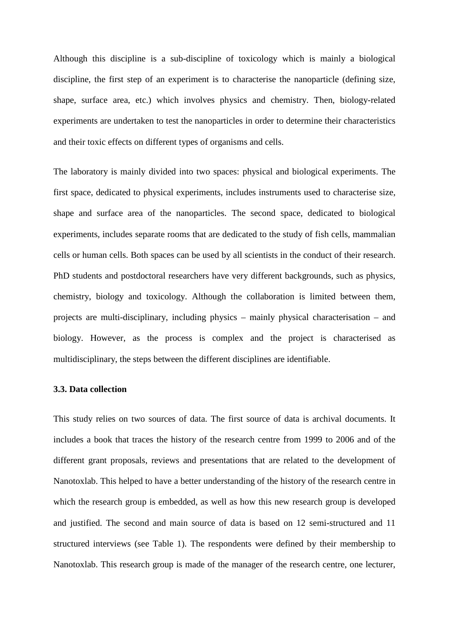Although this discipline is a sub-discipline of toxicology which is mainly a biological discipline, the first step of an experiment is to characterise the nanoparticle (defining size, shape, surface area, etc.) which involves physics and chemistry. Then, biology-related experiments are undertaken to test the nanoparticles in order to determine their characteristics and their toxic effects on different types of organisms and cells.

The laboratory is mainly divided into two spaces: physical and biological experiments. The first space, dedicated to physical experiments, includes instruments used to characterise size, shape and surface area of the nanoparticles. The second space, dedicated to biological experiments, includes separate rooms that are dedicated to the study of fish cells, mammalian cells or human cells. Both spaces can be used by all scientists in the conduct of their research. PhD students and postdoctoral researchers have very different backgrounds, such as physics, chemistry, biology and toxicology. Although the collaboration is limited between them, projects are multi-disciplinary, including physics – mainly physical characterisation – and biology. However, as the process is complex and the project is characterised as multidisciplinary, the steps between the different disciplines are identifiable.

#### **3.3. Data collection**

This study relies on two sources of data. The first source of data is archival documents. It includes a book that traces the history of the research centre from 1999 to 2006 and of the different grant proposals, reviews and presentations that are related to the development of Nanotoxlab. This helped to have a better understanding of the history of the research centre in which the research group is embedded, as well as how this new research group is developed and justified. The second and main source of data is based on 12 semi-structured and 11 structured interviews (see Table 1). The respondents were defined by their membership to Nanotoxlab. This research group is made of the manager of the research centre, one lecturer,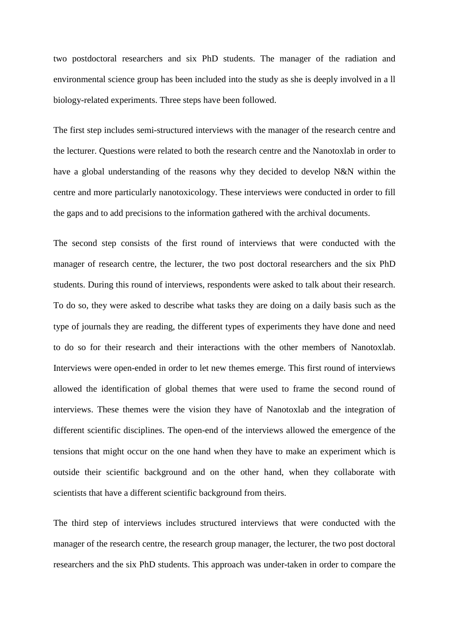two postdoctoral researchers and six PhD students. The manager of the radiation and environmental science group has been included into the study as she is deeply involved in a ll biology-related experiments. Three steps have been followed.

The first step includes semi-structured interviews with the manager of the research centre and the lecturer. Questions were related to both the research centre and the Nanotoxlab in order to have a global understanding of the reasons why they decided to develop N&N within the centre and more particularly nanotoxicology. These interviews were conducted in order to fill the gaps and to add precisions to the information gathered with the archival documents.

The second step consists of the first round of interviews that were conducted with the manager of research centre, the lecturer, the two post doctoral researchers and the six PhD students. During this round of interviews, respondents were asked to talk about their research. To do so, they were asked to describe what tasks they are doing on a daily basis such as the type of journals they are reading, the different types of experiments they have done and need to do so for their research and their interactions with the other members of Nanotoxlab. Interviews were open-ended in order to let new themes emerge. This first round of interviews allowed the identification of global themes that were used to frame the second round of interviews. These themes were the vision they have of Nanotoxlab and the integration of different scientific disciplines. The open-end of the interviews allowed the emergence of the tensions that might occur on the one hand when they have to make an experiment which is outside their scientific background and on the other hand, when they collaborate with scientists that have a different scientific background from theirs.

The third step of interviews includes structured interviews that were conducted with the manager of the research centre, the research group manager, the lecturer, the two post doctoral researchers and the six PhD students. This approach was under-taken in order to compare the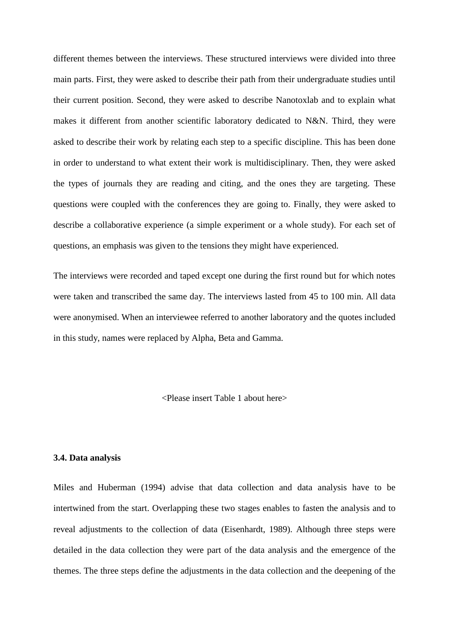different themes between the interviews. These structured interviews were divided into three main parts. First, they were asked to describe their path from their undergraduate studies until their current position. Second, they were asked to describe Nanotoxlab and to explain what makes it different from another scientific laboratory dedicated to N&N. Third, they were asked to describe their work by relating each step to a specific discipline. This has been done in order to understand to what extent their work is multidisciplinary. Then, they were asked the types of journals they are reading and citing, and the ones they are targeting. These questions were coupled with the conferences they are going to. Finally, they were asked to describe a collaborative experience (a simple experiment or a whole study). For each set of questions, an emphasis was given to the tensions they might have experienced.

The interviews were recorded and taped except one during the first round but for which notes were taken and transcribed the same day. The interviews lasted from 45 to 100 min. All data were anonymised. When an interviewee referred to another laboratory and the quotes included in this study, names were replaced by Alpha, Beta and Gamma.

<Please insert Table 1 about here>

# **3.4. Data analysis**

Miles and Huberman (1994) advise that data collection and data analysis have to be intertwined from the start. Overlapping these two stages enables to fasten the analysis and to reveal adjustments to the collection of data (Eisenhardt, 1989). Although three steps were detailed in the data collection they were part of the data analysis and the emergence of the themes. The three steps define the adjustments in the data collection and the deepening of the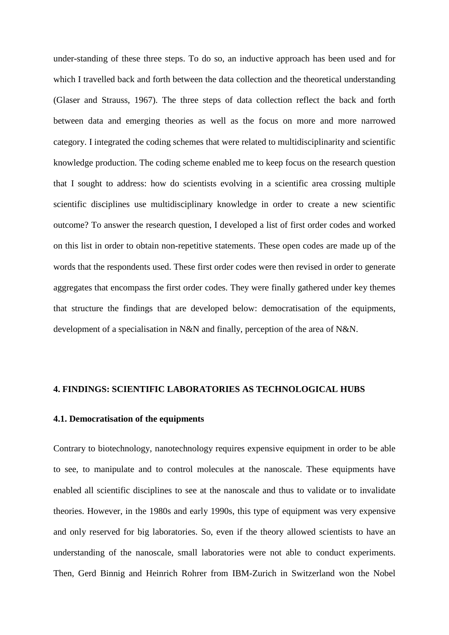under-standing of these three steps. To do so, an inductive approach has been used and for which I travelled back and forth between the data collection and the theoretical understanding (Glaser and Strauss, 1967). The three steps of data collection reflect the back and forth between data and emerging theories as well as the focus on more and more narrowed category. I integrated the coding schemes that were related to multidisciplinarity and scientific knowledge production. The coding scheme enabled me to keep focus on the research question that I sought to address: how do scientists evolving in a scientific area crossing multiple scientific disciplines use multidisciplinary knowledge in order to create a new scientific outcome? To answer the research question, I developed a list of first order codes and worked on this list in order to obtain non-repetitive statements. These open codes are made up of the words that the respondents used. These first order codes were then revised in order to generate aggregates that encompass the first order codes. They were finally gathered under key themes that structure the findings that are developed below: democratisation of the equipments, development of a specialisation in N&N and finally, perception of the area of N&N.

#### **4. FINDINGS: SCIENTIFIC LABORATORIES AS TECHNOLOGICAL HUBS**

#### **4.1. Democratisation of the equipments**

Contrary to biotechnology, nanotechnology requires expensive equipment in order to be able to see, to manipulate and to control molecules at the nanoscale. These equipments have enabled all scientific disciplines to see at the nanoscale and thus to validate or to invalidate theories. However, in the 1980s and early 1990s, this type of equipment was very expensive and only reserved for big laboratories. So, even if the theory allowed scientists to have an understanding of the nanoscale, small laboratories were not able to conduct experiments. Then, Gerd Binnig and Heinrich Rohrer from IBM-Zurich in Switzerland won the Nobel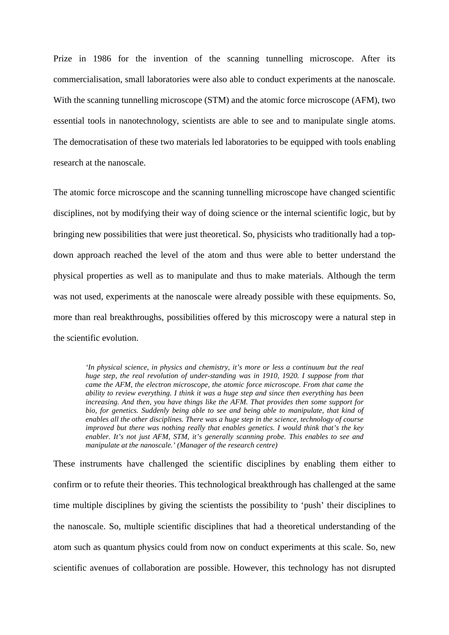Prize in 1986 for the invention of the scanning tunnelling microscope. After its commercialisation, small laboratories were also able to conduct experiments at the nanoscale. With the scanning tunnelling microscope (STM) and the atomic force microscope (AFM), two essential tools in nanotechnology, scientists are able to see and to manipulate single atoms. The democratisation of these two materials led laboratories to be equipped with tools enabling research at the nanoscale.

The atomic force microscope and the scanning tunnelling microscope have changed scientific disciplines, not by modifying their way of doing science or the internal scientific logic, but by bringing new possibilities that were just theoretical. So, physicists who traditionally had a topdown approach reached the level of the atom and thus were able to better understand the physical properties as well as to manipulate and thus to make materials. Although the term was not used, experiments at the nanoscale were already possible with these equipments. So, more than real breakthroughs, possibilities offered by this microscopy were a natural step in the scientific evolution.

*'In physical science, in physics and chemistry, it's more or less a continuum but the real huge step, the real revolution of under-standing was in 1910, 1920. I suppose from that came the AFM, the electron microscope, the atomic force microscope. From that came the ability to review everything. I think it was a huge step and since then everything has been increasing. And then, you have things like the AFM. That provides then some support for bio, for genetics. Suddenly being able to see and being able to manipulate, that kind of enables all the other disciplines. There was a huge step in the science, technology of course improved but there was nothing really that enables genetics. I would think that's the key enabler. It's not just AFM, STM, it's generally scanning probe. This enables to see and manipulate at the nanoscale.' (Manager of the research centre)* 

These instruments have challenged the scientific disciplines by enabling them either to confirm or to refute their theories. This technological breakthrough has challenged at the same time multiple disciplines by giving the scientists the possibility to 'push' their disciplines to the nanoscale. So, multiple scientific disciplines that had a theoretical understanding of the atom such as quantum physics could from now on conduct experiments at this scale. So, new scientific avenues of collaboration are possible. However, this technology has not disrupted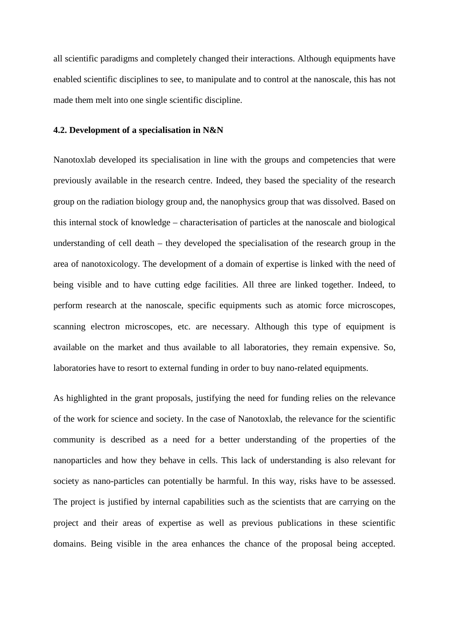all scientific paradigms and completely changed their interactions. Although equipments have enabled scientific disciplines to see, to manipulate and to control at the nanoscale, this has not made them melt into one single scientific discipline.

#### **4.2. Development of a specialisation in N&N**

Nanotoxlab developed its specialisation in line with the groups and competencies that were previously available in the research centre. Indeed, they based the speciality of the research group on the radiation biology group and, the nanophysics group that was dissolved. Based on this internal stock of knowledge – characterisation of particles at the nanoscale and biological understanding of cell death – they developed the specialisation of the research group in the area of nanotoxicology. The development of a domain of expertise is linked with the need of being visible and to have cutting edge facilities. All three are linked together. Indeed, to perform research at the nanoscale, specific equipments such as atomic force microscopes, scanning electron microscopes, etc. are necessary. Although this type of equipment is available on the market and thus available to all laboratories, they remain expensive. So, laboratories have to resort to external funding in order to buy nano-related equipments.

As highlighted in the grant proposals, justifying the need for funding relies on the relevance of the work for science and society. In the case of Nanotoxlab, the relevance for the scientific community is described as a need for a better understanding of the properties of the nanoparticles and how they behave in cells. This lack of understanding is also relevant for society as nano-particles can potentially be harmful. In this way, risks have to be assessed. The project is justified by internal capabilities such as the scientists that are carrying on the project and their areas of expertise as well as previous publications in these scientific domains. Being visible in the area enhances the chance of the proposal being accepted.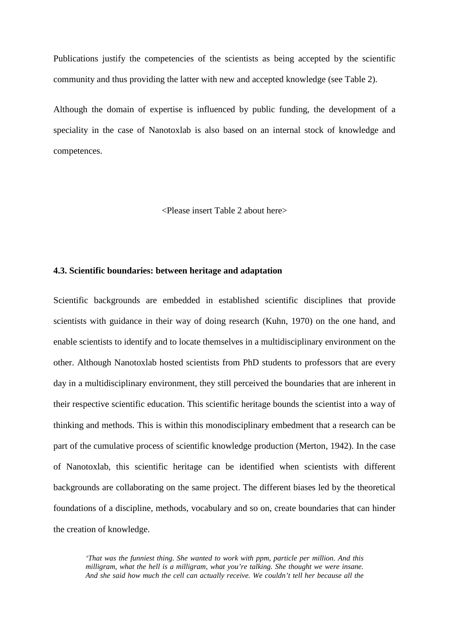Publications justify the competencies of the scientists as being accepted by the scientific community and thus providing the latter with new and accepted knowledge (see Table 2).

Although the domain of expertise is influenced by public funding, the development of a speciality in the case of Nanotoxlab is also based on an internal stock of knowledge and competences.

<Please insert Table 2 about here>

### **4.3. Scientific boundaries: between heritage and adaptation**

Scientific backgrounds are embedded in established scientific disciplines that provide scientists with guidance in their way of doing research (Kuhn, 1970) on the one hand, and enable scientists to identify and to locate themselves in a multidisciplinary environment on the other. Although Nanotoxlab hosted scientists from PhD students to professors that are every day in a multidisciplinary environment, they still perceived the boundaries that are inherent in their respective scientific education. This scientific heritage bounds the scientist into a way of thinking and methods. This is within this monodisciplinary embedment that a research can be part of the cumulative process of scientific knowledge production (Merton, 1942). In the case of Nanotoxlab, this scientific heritage can be identified when scientists with different backgrounds are collaborating on the same project. The different biases led by the theoretical foundations of a discipline, methods, vocabulary and so on, create boundaries that can hinder the creation of knowledge.

*'That was the funniest thing. She wanted to work with ppm, particle per million. And this milligram, what the hell is a milligram, what you're talking. She thought we were insane. And she said how much the cell can actually receive. We couldn't tell her because all the*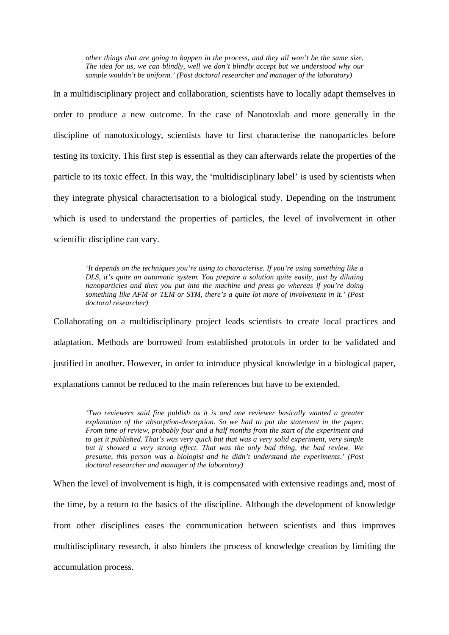*other things that are going to happen in the process, and they all won't be the same size. The idea for us, we can blindly, well we don't blindly accept but we understood why our sample wouldn't be uniform.' (Post doctoral researcher and manager of the laboratory)* 

In a multidisciplinary project and collaboration, scientists have to locally adapt themselves in order to produce a new outcome. In the case of Nanotoxlab and more generally in the discipline of nanotoxicology, scientists have to first characterise the nanoparticles before testing its toxicity. This first step is essential as they can afterwards relate the properties of the particle to its toxic effect. In this way, the 'multidisciplinary label' is used by scientists when they integrate physical characterisation to a biological study. Depending on the instrument which is used to understand the properties of particles, the level of involvement in other scientific discipline can vary.

*'It depends on the techniques you're using to characterise. If you're using something like a DLS, it's quite an automatic system. You prepare a solution quite easily, just by diluting nanoparticles and then you put into the machine and press go whereas if you're doing something like AFM or TEM or STM, there's a quite lot more of involvement in it.' (Post doctoral researcher)* 

Collaborating on a multidisciplinary project leads scientists to create local practices and adaptation. Methods are borrowed from established protocols in order to be validated and justified in another. However, in order to introduce physical knowledge in a biological paper, explanations cannot be reduced to the main references but have to be extended.

*'Two reviewers said fine publish as it is and one reviewer basically wanted a greater explanation of the absorption-desorption. So we had to put the statement in the paper. From time of review, probably four and a half months from the start of the experiment and to get it published. That's was very quick but that was a very solid experiment, very simple but it showed a very strong effect. That was the only bad thing, the bad review. We presume, this person was a biologist and he didn't understand the experiments.' (Post doctoral researcher and manager of the laboratory)* 

When the level of involvement is high, it is compensated with extensive readings and, most of the time, by a return to the basics of the discipline. Although the development of knowledge from other disciplines eases the communication between scientists and thus improves multidisciplinary research, it also hinders the process of knowledge creation by limiting the accumulation process.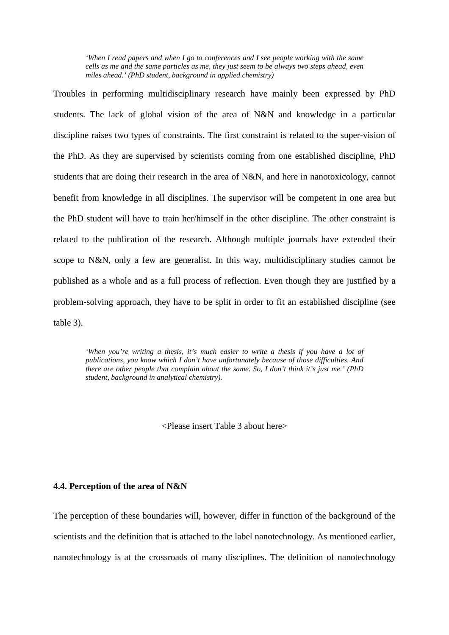*'When I read papers and when I go to conferences and I see people working with the same cells as me and the same particles as me, they just seem to be always two steps ahead, even miles ahead.' (PhD student, background in applied chemistry)* 

Troubles in performing multidisciplinary research have mainly been expressed by PhD students. The lack of global vision of the area of N&N and knowledge in a particular discipline raises two types of constraints. The first constraint is related to the super-vision of the PhD. As they are supervised by scientists coming from one established discipline, PhD students that are doing their research in the area of N&N, and here in nanotoxicology, cannot benefit from knowledge in all disciplines. The supervisor will be competent in one area but the PhD student will have to train her/himself in the other discipline. The other constraint is related to the publication of the research. Although multiple journals have extended their scope to N&N, only a few are generalist. In this way, multidisciplinary studies cannot be published as a whole and as a full process of reflection. Even though they are justified by a problem-solving approach, they have to be split in order to fit an established discipline (see table 3).

*'When you're writing a thesis, it's much easier to write a thesis if you have a lot of publications, you know which I don't have unfortunately because of those difficulties. And there are other people that complain about the same. So, I don't think it's just me.' (PhD student, background in analytical chemistry).* 

<Please insert Table 3 about here>

# **4.4. Perception of the area of N&N**

The perception of these boundaries will, however, differ in function of the background of the scientists and the definition that is attached to the label nanotechnology. As mentioned earlier, nanotechnology is at the crossroads of many disciplines. The definition of nanotechnology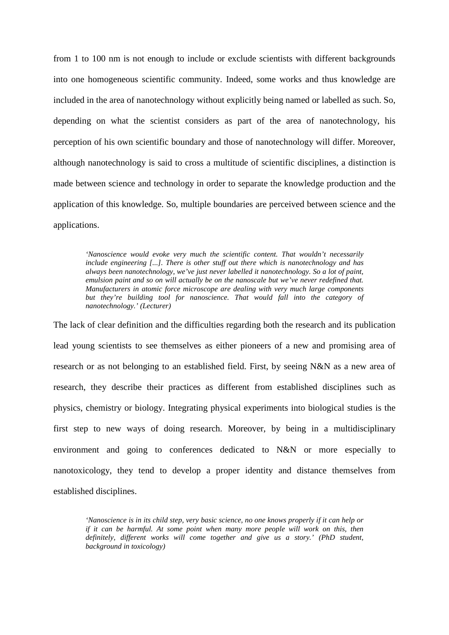from 1 to 100 nm is not enough to include or exclude scientists with different backgrounds into one homogeneous scientific community. Indeed, some works and thus knowledge are included in the area of nanotechnology without explicitly being named or labelled as such. So, depending on what the scientist considers as part of the area of nanotechnology, his perception of his own scientific boundary and those of nanotechnology will differ. Moreover, although nanotechnology is said to cross a multitude of scientific disciplines, a distinction is made between science and technology in order to separate the knowledge production and the application of this knowledge. So, multiple boundaries are perceived between science and the applications.

*'Nanoscience would evoke very much the scientific content. That wouldn't necessarily include engineering [...]. There is other stuff out there which is nanotechnology and has always been nanotechnology, we've just never labelled it nanotechnology. So a lot of paint, emulsion paint and so on will actually be on the nanoscale but we've never redefined that. Manufacturers in atomic force microscope are dealing with very much large components but they're building tool for nanoscience. That would fall into the category of nanotechnology.' (Lecturer)* 

The lack of clear definition and the difficulties regarding both the research and its publication lead young scientists to see themselves as either pioneers of a new and promising area of research or as not belonging to an established field. First, by seeing N&N as a new area of research, they describe their practices as different from established disciplines such as physics, chemistry or biology. Integrating physical experiments into biological studies is the first step to new ways of doing research. Moreover, by being in a multidisciplinary environment and going to conferences dedicated to N&N or more especially to nanotoxicology, they tend to develop a proper identity and distance themselves from established disciplines.

*'Nanoscience is in its child step, very basic science, no one knows properly if it can help or if it can be harmful. At some point when many more people will work on this, then definitely, different works will come together and give us a story.' (PhD student, background in toxicology)*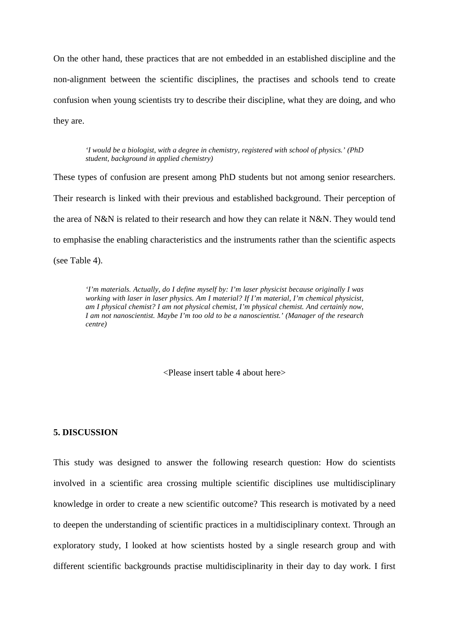On the other hand, these practices that are not embedded in an established discipline and the non-alignment between the scientific disciplines, the practises and schools tend to create confusion when young scientists try to describe their discipline, what they are doing, and who they are.

*'I would be a biologist, with a degree in chemistry, registered with school of physics.' (PhD student, background in applied chemistry)* 

These types of confusion are present among PhD students but not among senior researchers. Their research is linked with their previous and established background. Their perception of the area of N&N is related to their research and how they can relate it N&N. They would tend to emphasise the enabling characteristics and the instruments rather than the scientific aspects (see Table 4).

*'I'm materials. Actually, do I define myself by: I'm laser physicist because originally I was working with laser in laser physics. Am I material? If I'm material, I'm chemical physicist, am I physical chemist? I am not physical chemist, I'm physical chemist. And certainly now, I am not nanoscientist. Maybe I'm too old to be a nanoscientist.' (Manager of the research centre)* 

<Please insert table 4 about here>

#### **5. DISCUSSION**

This study was designed to answer the following research question: How do scientists involved in a scientific area crossing multiple scientific disciplines use multidisciplinary knowledge in order to create a new scientific outcome? This research is motivated by a need to deepen the understanding of scientific practices in a multidisciplinary context. Through an exploratory study, I looked at how scientists hosted by a single research group and with different scientific backgrounds practise multidisciplinarity in their day to day work. I first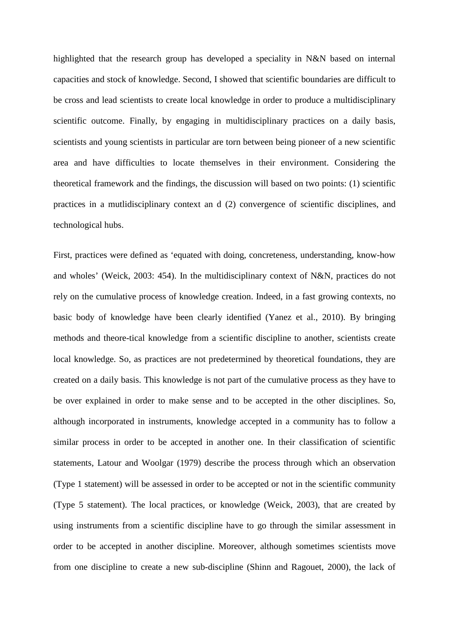highlighted that the research group has developed a speciality in N&N based on internal capacities and stock of knowledge. Second, I showed that scientific boundaries are difficult to be cross and lead scientists to create local knowledge in order to produce a multidisciplinary scientific outcome. Finally, by engaging in multidisciplinary practices on a daily basis, scientists and young scientists in particular are torn between being pioneer of a new scientific area and have difficulties to locate themselves in their environment. Considering the theoretical framework and the findings, the discussion will based on two points: (1) scientific practices in a mutlidisciplinary context an d (2) convergence of scientific disciplines, and technological hubs.

First, practices were defined as 'equated with doing, concreteness, understanding, know-how and wholes' (Weick, 2003: 454). In the multidisciplinary context of N&N, practices do not rely on the cumulative process of knowledge creation. Indeed, in a fast growing contexts, no basic body of knowledge have been clearly identified (Yanez et al., 2010). By bringing methods and theore-tical knowledge from a scientific discipline to another, scientists create local knowledge. So, as practices are not predetermined by theoretical foundations, they are created on a daily basis. This knowledge is not part of the cumulative process as they have to be over explained in order to make sense and to be accepted in the other disciplines. So, although incorporated in instruments, knowledge accepted in a community has to follow a similar process in order to be accepted in another one. In their classification of scientific statements, Latour and Woolgar (1979) describe the process through which an observation (Type 1 statement) will be assessed in order to be accepted or not in the scientific community (Type 5 statement). The local practices, or knowledge (Weick, 2003), that are created by using instruments from a scientific discipline have to go through the similar assessment in order to be accepted in another discipline. Moreover, although sometimes scientists move from one discipline to create a new sub-discipline (Shinn and Ragouet, 2000), the lack of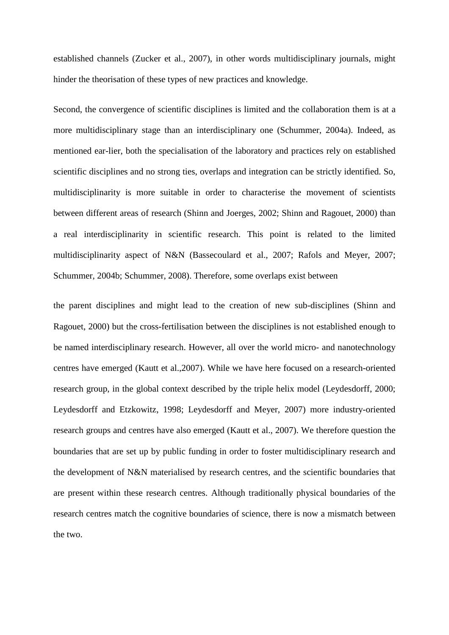established channels (Zucker et al., 2007), in other words multidisciplinary journals, might hinder the theorisation of these types of new practices and knowledge.

Second, the convergence of scientific disciplines is limited and the collaboration them is at a more multidisciplinary stage than an interdisciplinary one (Schummer, 2004a). Indeed, as mentioned ear-lier, both the specialisation of the laboratory and practices rely on established scientific disciplines and no strong ties, overlaps and integration can be strictly identified. So, multidisciplinarity is more suitable in order to characterise the movement of scientists between different areas of research (Shinn and Joerges, 2002; Shinn and Ragouet, 2000) than a real interdisciplinarity in scientific research. This point is related to the limited multidisciplinarity aspect of N&N (Bassecoulard et al., 2007; Rafols and Meyer, 2007; Schummer, 2004b; Schummer, 2008). Therefore, some overlaps exist between

the parent disciplines and might lead to the creation of new sub-disciplines (Shinn and Ragouet, 2000) but the cross-fertilisation between the disciplines is not established enough to be named interdisciplinary research. However, all over the world micro- and nanotechnology centres have emerged (Kautt et al.,2007). While we have here focused on a research-oriented research group, in the global context described by the triple helix model (Leydesdorff, 2000; Leydesdorff and Etzkowitz, 1998; Leydesdorff and Meyer, 2007) more industry-oriented research groups and centres have also emerged (Kautt et al., 2007). We therefore question the boundaries that are set up by public funding in order to foster multidisciplinary research and the development of N&N materialised by research centres, and the scientific boundaries that are present within these research centres. Although traditionally physical boundaries of the research centres match the cognitive boundaries of science, there is now a mismatch between the two.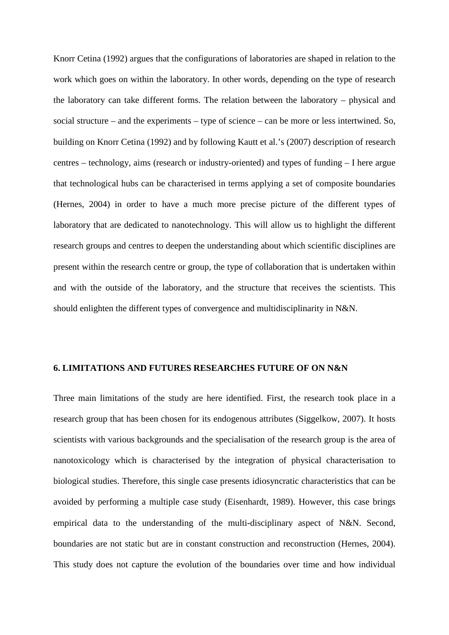Knorr Cetina (1992) argues that the configurations of laboratories are shaped in relation to the work which goes on within the laboratory. In other words, depending on the type of research the laboratory can take different forms. The relation between the laboratory – physical and social structure – and the experiments – type of science – can be more or less intertwined. So, building on Knorr Cetina (1992) and by following Kautt et al.'s (2007) description of research centres – technology, aims (research or industry-oriented) and types of funding – I here argue that technological hubs can be characterised in terms applying a set of composite boundaries (Hernes, 2004) in order to have a much more precise picture of the different types of laboratory that are dedicated to nanotechnology. This will allow us to highlight the different research groups and centres to deepen the understanding about which scientific disciplines are present within the research centre or group, the type of collaboration that is undertaken within and with the outside of the laboratory, and the structure that receives the scientists. This should enlighten the different types of convergence and multidisciplinarity in N&N.

# **6. LIMITATIONS AND FUTURES RESEARCHES FUTURE OF ON N&N**

Three main limitations of the study are here identified. First, the research took place in a research group that has been chosen for its endogenous attributes (Siggelkow, 2007). It hosts scientists with various backgrounds and the specialisation of the research group is the area of nanotoxicology which is characterised by the integration of physical characterisation to biological studies. Therefore, this single case presents idiosyncratic characteristics that can be avoided by performing a multiple case study (Eisenhardt, 1989). However, this case brings empirical data to the understanding of the multi-disciplinary aspect of N&N. Second, boundaries are not static but are in constant construction and reconstruction (Hernes, 2004). This study does not capture the evolution of the boundaries over time and how individual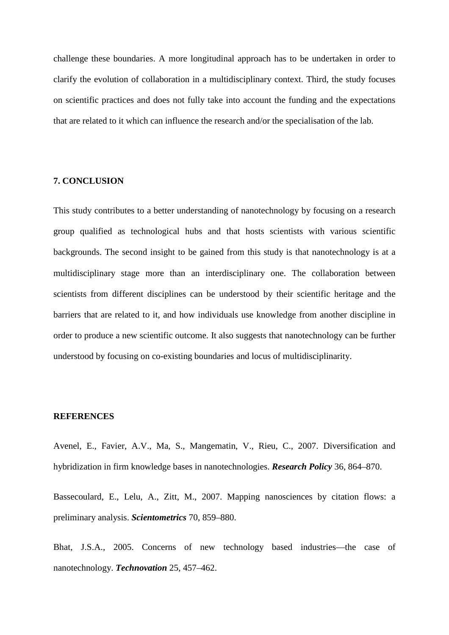challenge these boundaries. A more longitudinal approach has to be undertaken in order to clarify the evolution of collaboration in a multidisciplinary context. Third, the study focuses on scientific practices and does not fully take into account the funding and the expectations that are related to it which can influence the research and/or the specialisation of the lab.

# **7. CONCLUSION**

This study contributes to a better understanding of nanotechnology by focusing on a research group qualified as technological hubs and that hosts scientists with various scientific backgrounds. The second insight to be gained from this study is that nanotechnology is at a multidisciplinary stage more than an interdisciplinary one. The collaboration between scientists from different disciplines can be understood by their scientific heritage and the barriers that are related to it, and how individuals use knowledge from another discipline in order to produce a new scientific outcome. It also suggests that nanotechnology can be further understood by focusing on co-existing boundaries and locus of multidisciplinarity.

#### **REFERENCES**

Avenel, E., Favier, A.V., Ma, S., Mangematin, V., Rieu, C., 2007. Diversification and hybridization in firm knowledge bases in nanotechnologies. *Research Policy* 36, 864–870.

Bassecoulard, E., Lelu, A., Zitt, M., 2007. Mapping nanosciences by citation flows: a preliminary analysis. *Scientometrics* 70, 859–880.

Bhat, J.S.A., 2005. Concerns of new technology based industries—the case of nanotechnology. *Technovation* 25, 457–462.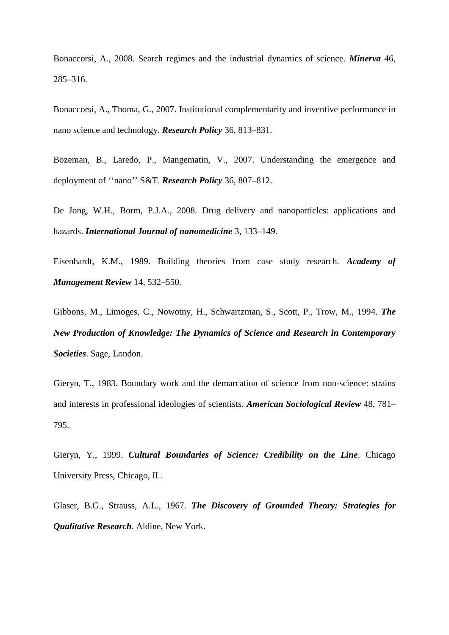Bonaccorsi, A., 2008. Search regimes and the industrial dynamics of science. *Minerva* 46, 285–316.

Bonaccorsi, A., Thoma, G., 2007. Institutional complementarity and inventive performance in nano science and technology. *Research Policy* 36, 813–831.

Bozeman, B., Laredo, P., Mangematin, V., 2007. Understanding the emergence and deployment of ''nano'' S&T. *Research Policy* 36, 807–812.

De Jong, W.H., Borm, P.J.A., 2008. Drug delivery and nanoparticles: applications and hazards. *International Journal of nanomedicine* 3, 133–149.

Eisenhardt, K.M., 1989. Building theories from case study research. *Academy of Management Review* 14, 532–550.

Gibbons, M., Limoges, C., Nowotny, H., Schwartzman, S., Scott, P., Trow, M., 1994. *The New Production of Knowledge: The Dynamics of Science and Research in Contemporary Societies*. Sage, London.

Gieryn, T., 1983. Boundary work and the demarcation of science from non-science: strains and interests in professional ideologies of scientists. *American Sociological Review* 48, 781– 795.

Gieryn, Y., 1999. *Cultural Boundaries of Science: Credibility on the Line*. Chicago University Press, Chicago, IL.

Glaser, B.G., Strauss, A.L., 1967. *The Discovery of Grounded Theory: Strategies for Qualitative Research*. Aldine, New York.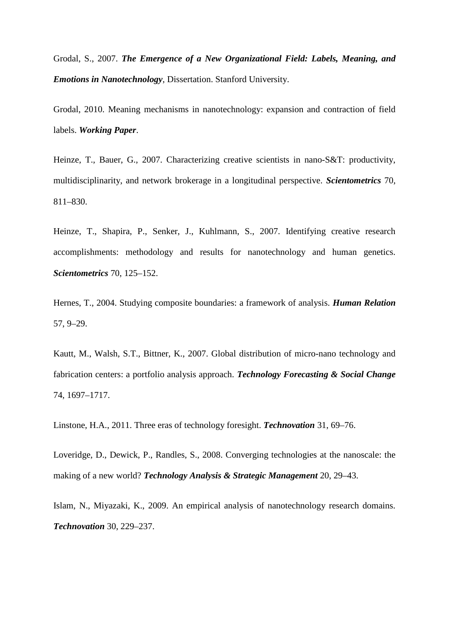Grodal, S., 2007. *The Emergence of a New Organizational Field: Labels, Meaning, and Emotions in Nanotechnology*, Dissertation. Stanford University.

Grodal, 2010. Meaning mechanisms in nanotechnology: expansion and contraction of field labels. *Working Paper*.

Heinze, T., Bauer, G., 2007. Characterizing creative scientists in nano-S&T: productivity, multidisciplinarity, and network brokerage in a longitudinal perspective. *Scientometrics* 70, 811–830.

Heinze, T., Shapira, P., Senker, J., Kuhlmann, S., 2007. Identifying creative research accomplishments: methodology and results for nanotechnology and human genetics. *Scientometrics* 70, 125–152.

Hernes, T., 2004. Studying composite boundaries: a framework of analysis. *Human Relation* 57, 9–29.

Kautt, M., Walsh, S.T., Bittner, K., 2007. Global distribution of micro-nano technology and fabrication centers: a portfolio analysis approach. *Technology Forecasting & Social Change* 74, 1697–1717.

Linstone, H.A., 2011. Three eras of technology foresight. *Technovation* 31, 69–76.

Loveridge, D., Dewick, P., Randles, S., 2008. Converging technologies at the nanoscale: the making of a new world? *Technology Analysis & Strategic Management* 20, 29–43.

Islam, N., Miyazaki, K., 2009. An empirical analysis of nanotechnology research domains. *Technovation* 30, 229–237.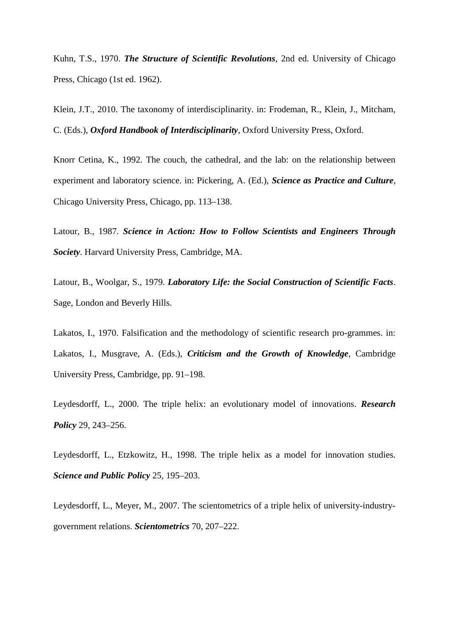Kuhn, T.S., 1970. *The Structure of Scientific Revolutions*, 2nd ed. University of Chicago Press, Chicago (1st ed. 1962).

Klein, J.T., 2010. The taxonomy of interdisciplinarity. in: Frodeman, R., Klein, J., Mitcham, C. (Eds.), *Oxford Handbook of Interdisciplinarity*, Oxford University Press, Oxford.

Knorr Cetina, K., 1992. The couch, the cathedral, and the lab: on the relationship between experiment and laboratory science. in: Pickering, A. (Ed.), *Science as Practice and Culture*, Chicago University Press, Chicago, pp. 113–138.

Latour, B., 1987. *Science in Action: How to Follow Scientists and Engineers Through Society*. Harvard University Press, Cambridge, MA.

Latour, B., Woolgar, S., 1979. *Laboratory Life: the Social Construction of Scientific Facts*. Sage, London and Beverly Hills.

Lakatos, I., 1970. Falsification and the methodology of scientific research pro-grammes. in: Lakatos, I., Musgrave, A. (Eds.), *Criticism and the Growth of Knowledge*, Cambridge University Press, Cambridge, pp. 91–198.

Leydesdorff, L., 2000. The triple helix: an evolutionary model of innovations. *Research Policy* 29, 243–256.

Leydesdorff, L., Etzkowitz, H., 1998. The triple helix as a model for innovation studies. *Science and Public Policy* 25, 195–203.

Leydesdorff, L., Meyer, M., 2007. The scientometrics of a triple helix of university-industrygovernment relations. *Scientometrics* 70, 207–222.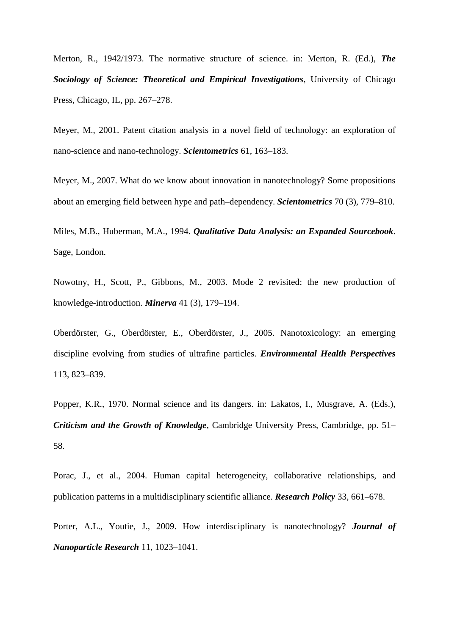Merton, R., 1942/1973. The normative structure of science. in: Merton, R. (Ed.), *The Sociology of Science: Theoretical and Empirical Investigations*, University of Chicago Press, Chicago, IL, pp. 267–278.

Meyer, M., 2001. Patent citation analysis in a novel field of technology: an exploration of nano-science and nano-technology. *Scientometrics* 61, 163–183.

Meyer, M., 2007. What do we know about innovation in nanotechnology? Some propositions about an emerging field between hype and path–dependency. *Scientometrics* 70 (3), 779–810.

Miles, M.B., Huberman, M.A., 1994. *Qualitative Data Analysis: an Expanded Sourcebook*. Sage, London.

Nowotny, H., Scott, P., Gibbons, M., 2003. Mode 2 revisited: the new production of knowledge-introduction. *Minerva* 41 (3), 179–194.

Oberdörster, G., Oberdörster, E., Oberdörster, J., 2005. Nanotoxicology: an emerging discipline evolving from studies of ultrafine particles. *Environmental Health Perspectives* 113, 823–839.

Popper, K.R., 1970. Normal science and its dangers. in: Lakatos, I., Musgrave, A. (Eds.), *Criticism and the Growth of Knowledge*, Cambridge University Press, Cambridge, pp. 51– 58.

Porac, J., et al., 2004. Human capital heterogeneity, collaborative relationships, and publication patterns in a multidisciplinary scientific alliance. *Research Policy* 33, 661–678.

Porter, A.L., Youtie, J., 2009. How interdisciplinary is nanotechnology? *Journal of Nanoparticle Research* 11, 1023–1041.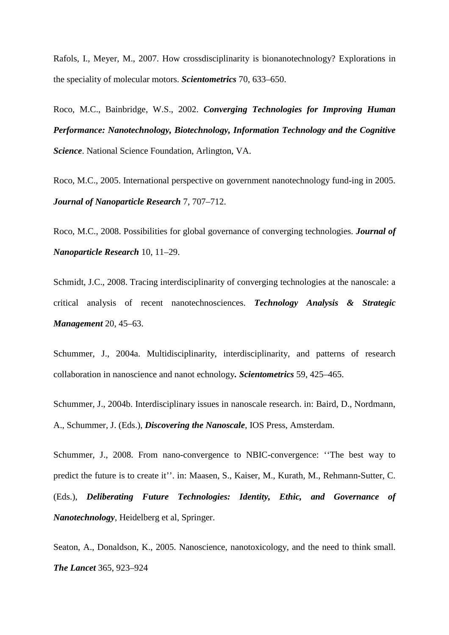Rafols, I., Meyer, M., 2007. How crossdisciplinarity is bionanotechnology? Explorations in the speciality of molecular motors. *Scientometrics* 70, 633–650.

Roco, M.C., Bainbridge, W.S., 2002. *Converging Technologies for Improving Human Performance: Nanotechnology, Biotechnology, Information Technology and the Cognitive Science*. National Science Foundation, Arlington, VA.

Roco, M.C., 2005. International perspective on government nanotechnology fund-ing in 2005. *Journal of Nanoparticle Research* 7, 707–712.

Roco, M.C., 2008. Possibilities for global governance of converging technologies. *Journal of Nanoparticle Research* 10, 11–29.

Schmidt, J.C., 2008. Tracing interdisciplinarity of converging technologies at the nanoscale: a critical analysis of recent nanotechnosciences. *Technology Analysis & Strategic Management* 20, 45–63.

Schummer, J., 2004a. Multidisciplinarity, interdisciplinarity, and patterns of research collaboration in nanoscience and nanot echnology*. Scientometrics* 59, 425–465.

Schummer, J., 2004b. Interdisciplinary issues in nanoscale research. in: Baird, D., Nordmann, A., Schummer, J. (Eds.), *Discovering the Nanoscale*, IOS Press, Amsterdam.

Schummer, J., 2008. From nano-convergence to NBIC-convergence: ''The best way to predict the future is to create it''. in: Maasen, S., Kaiser, M., Kurath, M., Rehmann-Sutter, C. (Eds.), *Deliberating Future Technologies: Identity, Ethic, and Governance of Nanotechnology*, Heidelberg et al, Springer.

Seaton, A., Donaldson, K., 2005. Nanoscience, nanotoxicology, and the need to think small. *The Lancet* 365, 923–924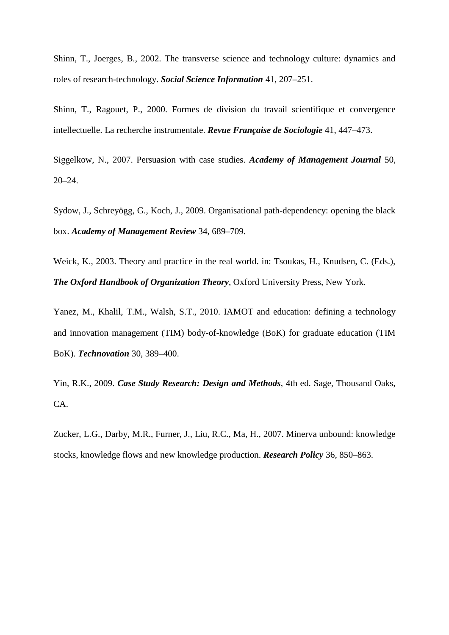Shinn, T., Joerges, B., 2002. The transverse science and technology culture: dynamics and roles of research-technology. *Social Science Information* 41, 207–251.

Shinn, T., Ragouet, P., 2000. Formes de division du travail scientifique et convergence intellectuelle. La recherche instrumentale. *Revue Française de Sociologie* 41, 447–473.

Siggelkow, N., 2007. Persuasion with case studies. *Academy of Management Journal* 50, 20–24.

Sydow, J., Schreyögg, G., Koch, J., 2009. Organisational path-dependency: opening the black box. *Academy of Management Review* 34, 689–709.

Weick, K., 2003. Theory and practice in the real world. in: Tsoukas, H., Knudsen, C. (Eds.), *The Oxford Handbook of Organization Theory*, Oxford University Press, New York.

Yanez, M., Khalil, T.M., Walsh, S.T., 2010. IAMOT and education: defining a technology and innovation management (TIM) body-of-knowledge (BoK) for graduate education (TIM BoK). *Technovation* 30, 389–400.

Yin, R.K., 2009. *Case Study Research: Design and Methods*, 4th ed. Sage, Thousand Oaks, CA.

Zucker, L.G., Darby, M.R., Furner, J., Liu, R.C., Ma, H., 2007. Minerva unbound: knowledge stocks, knowledge flows and new knowledge production. *Research Policy* 36, 850–863.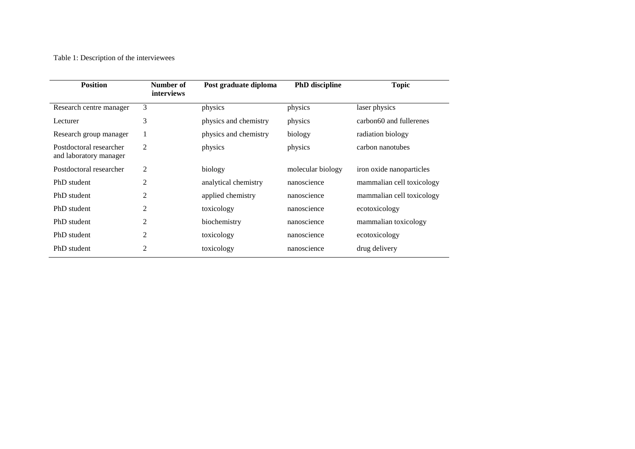Table 1: Description of the interviewees

| <b>Position</b>                                   | Number of<br>interviews | Post graduate diploma | <b>PhD</b> discipline | <b>Topic</b>              |
|---------------------------------------------------|-------------------------|-----------------------|-----------------------|---------------------------|
| Research centre manager                           | 3                       | physics               | physics               | laser physics             |
| Lecturer                                          | 3                       | physics and chemistry | physics               | carbon60 and fullerenes   |
| Research group manager                            | $\mathbf{1}$            | physics and chemistry | biology               | radiation biology         |
| Postdoctoral researcher<br>and laboratory manager | 2                       | physics               | physics               | carbon nanotubes          |
| Postdoctoral researcher                           | 2                       | biology               | molecular biology     | iron oxide nanoparticles  |
| PhD student                                       | $\overline{2}$          | analytical chemistry  | nanoscience           | mammalian cell toxicology |
| PhD student                                       | $\overline{2}$          | applied chemistry     | nanoscience           | mammalian cell toxicology |
| PhD student                                       | $\overline{2}$          | toxicology            | nanoscience           | ecotoxicology             |
| PhD student                                       | 2                       | biochemistry          | nanoscience           | mammalian toxicology      |
| PhD student                                       | 2                       | toxicology            | nanoscience           | ecotoxicology             |
| PhD student                                       | $\overline{2}$          | toxicology            | nanoscience           | drug delivery             |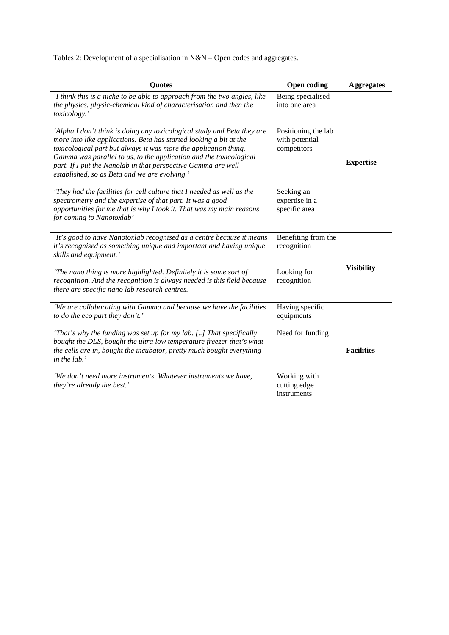Tables 2: Development of a specialisation in N&N – Open codes and aggregates.

| <b>Quotes</b>                                                                                                                                                                                                                                                                                                                                                                                             | <b>Open coding</b>                                   | <b>Aggregates</b> |
|-----------------------------------------------------------------------------------------------------------------------------------------------------------------------------------------------------------------------------------------------------------------------------------------------------------------------------------------------------------------------------------------------------------|------------------------------------------------------|-------------------|
| 'I think this is a niche to be able to approach from the two angles, like<br>the physics, physic-chemical kind of characterisation and then the<br>toxicology.'                                                                                                                                                                                                                                           | Being specialised<br>into one area                   |                   |
| 'Alpha I don't think is doing any toxicological study and Beta they are<br>more into like applications. Beta has started looking a bit at the<br>toxicological part but always it was more the application thing.<br>Gamma was parallel to us, to the application and the toxicological<br>part. If I put the Nanolab in that perspective Gamma are well<br>established, so as Beta and we are evolving.' | Positioning the lab<br>with potential<br>competitors | <b>Expertise</b>  |
| 'They had the facilities for cell culture that I needed as well as the<br>spectrometry and the expertise of that part. It was a good<br>opportunities for me that is why I took it. That was my main reasons<br>for coming to Nanotoxlab'                                                                                                                                                                 | Seeking an<br>expertise in a<br>specific area        |                   |
| 'It's good to have Nanotoxlab recognised as a centre because it means<br>it's recognised as something unique and important and having unique<br>skills and equipment.'                                                                                                                                                                                                                                    | Benefiting from the<br>recognition                   |                   |
| 'The nano thing is more highlighted. Definitely it is some sort of<br>recognition. And the recognition is always needed is this field because<br>there are specific nano lab research centres.                                                                                                                                                                                                            | Looking for<br>recognition                           | <b>Visibility</b> |
| 'We are collaborating with Gamma and because we have the facilities<br>to do the eco part they don't.'                                                                                                                                                                                                                                                                                                    | Having specific<br>equipments                        |                   |
| 'That's why the funding was set up for my lab. [] That specifically<br>Need for funding<br>bought the DLS, bought the ultra low temperature freezer that's what<br>the cells are in, bought the incubator, pretty much bought everything<br>in the lab.'                                                                                                                                                  |                                                      | <b>Facilities</b> |
| 'We don't need more instruments. Whatever instruments we have,<br>they're already the best.'                                                                                                                                                                                                                                                                                                              | Working with<br>cutting edge<br>instruments          |                   |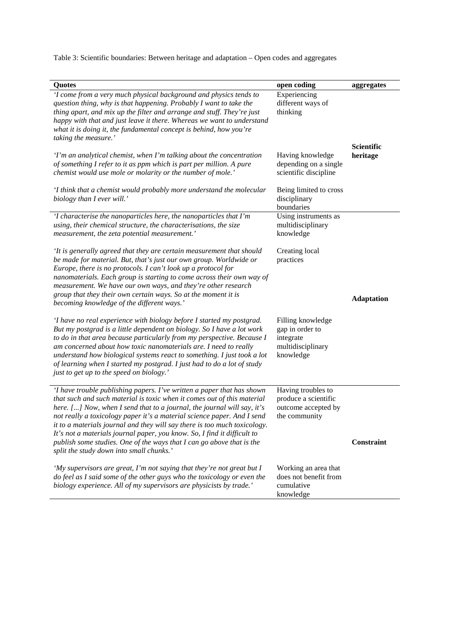Table 3: Scientific boundaries: Between heritage and adaptation – Open codes and aggregates

| Quotes                                                                                                                                                                                                                                                                                                                                                                                                                                                                                                                                                                                | open coding                                                                         | aggregates                    |
|---------------------------------------------------------------------------------------------------------------------------------------------------------------------------------------------------------------------------------------------------------------------------------------------------------------------------------------------------------------------------------------------------------------------------------------------------------------------------------------------------------------------------------------------------------------------------------------|-------------------------------------------------------------------------------------|-------------------------------|
| 'I come from a very much physical background and physics tends to<br>question thing, why is that happening. Probably I want to take the<br>thing apart, and mix up the filter and arrange and stuff. They're just<br>happy with that and just leave it there. Whereas we want to understand<br>what it is doing it, the fundamental concept is behind, how you're<br>taking the measure.'                                                                                                                                                                                             | Experiencing<br>different ways of<br>thinking                                       |                               |
| 'I'm an analytical chemist, when I'm talking about the concentration<br>of something I refer to it as ppm which is part per million. A pure<br>chemist would use mole or molarity or the number of mole.'                                                                                                                                                                                                                                                                                                                                                                             | Having knowledge<br>depending on a single<br>scientific discipline                  | <b>Scientific</b><br>heritage |
| 'I think that a chemist would probably more understand the molecular<br>biology than I ever will.'                                                                                                                                                                                                                                                                                                                                                                                                                                                                                    | Being limited to cross<br>disciplinary<br>boundaries                                |                               |
| 'I characterise the nanoparticles here, the nanoparticles that I'm<br>using, their chemical structure, the characterisations, the size<br>measurement, the zeta potential measurement.'                                                                                                                                                                                                                                                                                                                                                                                               | Using instruments as<br>multidisciplinary<br>knowledge                              |                               |
| 'It is generally agreed that they are certain measurement that should<br>be made for material. But, that's just our own group. Worldwide or<br>Europe, there is no protocols. I can't look up a protocol for<br>nanomaterials. Each group is starting to come across their own way of<br>measurement. We have our own ways, and they're other research<br>group that they their own certain ways. So at the moment it is<br>becoming knowledge of the different ways.'                                                                                                                | Creating local<br>practices                                                         | <b>Adaptation</b>             |
| 'I have no real experience with biology before I started my postgrad.<br>But my postgrad is a little dependent on biology. So I have a lot work<br>to do in that area because particularly from my perspective. Because I<br>am concerned about how toxic nanomaterials are. I need to really<br>understand how biological systems react to something. I just took a lot<br>of learning when I started my postgrad. I just had to do a lot of study<br>just to get up to the speed on biology.'                                                                                       | Filling knowledge<br>gap in order to<br>integrate<br>multidisciplinary<br>knowledge |                               |
| 'I have trouble publishing papers. I've written a paper that has shown<br>that such and such material is toxic when it comes out of this material<br>here. [] Now, when I send that to a journal, the journal will say, it's<br>not really a toxicology paper it's a material science paper. And I send<br>it to a materials journal and they will say there is too much toxicology.<br>It's not a materials journal paper, you know. So, I find it difficult to<br>publish some studies. One of the ways that I can go above that is the<br>split the study down into small chunks.' | Having troubles to<br>produce a scientific<br>outcome accepted by<br>the community  | Constraint                    |
| 'My supervisors are great, I'm not saying that they're not great but I<br>do feel as I said some of the other guys who the toxicology or even the<br>biology experience. All of my supervisors are physicists by trade.'                                                                                                                                                                                                                                                                                                                                                              | Working an area that<br>does not benefit from<br>cumulative<br>knowledge            |                               |